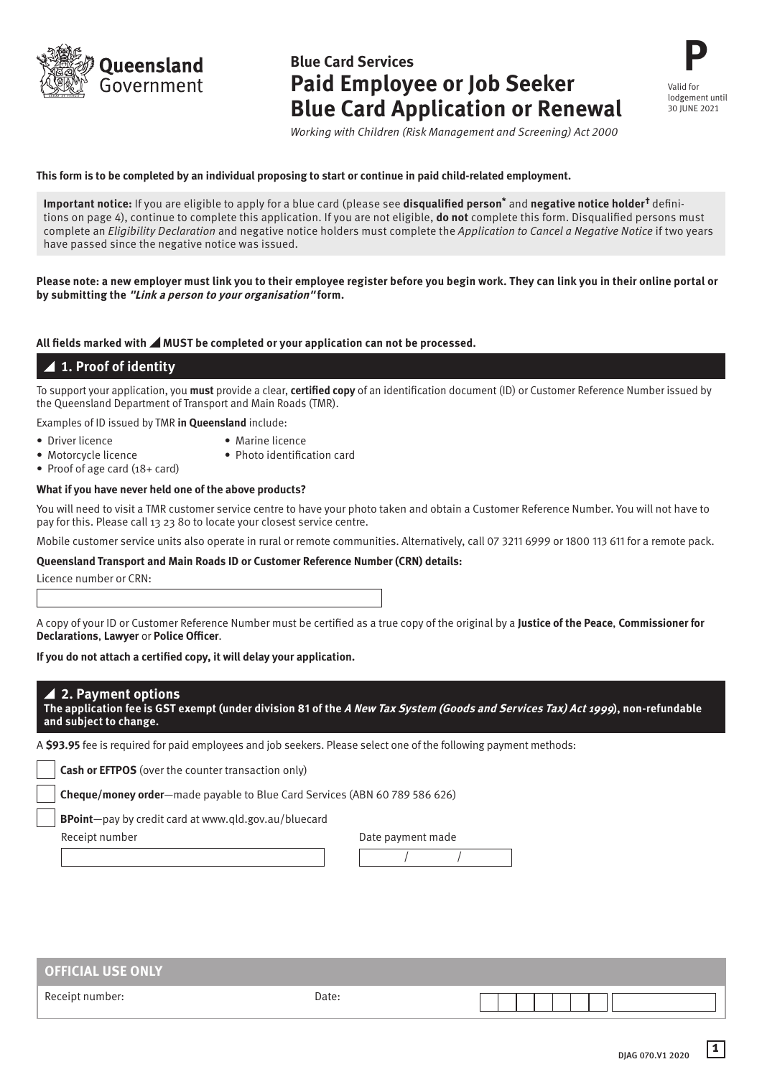**Dueensland** Government

# **Blue Card Services Paid Employee or Job Seeker Blue Card Application or Renewal**

**P** Valid for lodgement until 30 JUNE 2021

*Working with Children (Risk Management and Screening) Act 2000*

#### **This form is to be completed by an individual proposing to start or continue in paid child-related employment.**

**Important notice:** If you are eligible to apply for a blue card (please see **disqualified person\*** and **negative notice holder†** definitions on page 4), continue to complete this application. If you are not eligible, **do not** complete this form. Disqualified persons must complete an *Eligibility Declaration* and negative notice holders must complete the *Application to Cancel a Negative Notice* if two years have passed since the negative notice was issued.

#### **Please note: a new employer must link you to their employee register before you begin work. They can link you in their online portal or by submitting the "Link a person to your organisation" form.**

#### All fields marked with **AMUST** be completed or your application can not be processed.

# **1. Proof of identity**

To support your application, you **must** provide a clear, **certified copy** of an identification document (ID) or Customer Reference Number issued by the Queensland Department of Transport and Main Roads (TMR).

Examples of ID issued by TMR **in Queensland** include:

- 
- Driver licence Marine licence
- Motorcycle licence Photo identification card

• Proof of age card (18+ card)

- 
- **What if you have never held one of the above products?**

You will need to visit a TMR customer service centre to have your photo taken and obtain a Customer Reference Number. You will not have to pay for this. Please call 13 23 80 to locate your closest service centre.

Mobile customer service units also operate in rural or remote communities. Alternatively, call 07 3211 6999 or 1800 113 611 for a remote pack.

 $\overline{\phantom{a}}$ 

#### **Queensland Transport and Main Roads ID or Customer Reference Number (CRN) details:**

Licence number or CRN:

A copy of your ID or Customer Reference Number must be certified as a true copy of the original by a **Justice of the Peace**, **Commissioner for Declarations**, **Lawyer** or **Police Officer**.

#### **If you do not attach a certified copy, it will delay your application.**

| $\blacktriangle$ 2. Payment options $\blacktriangle$                                                                                     |
|------------------------------------------------------------------------------------------------------------------------------------------|
| The application fee is GST exempt (under division 81 of the <i>A New Tax System (Goods and Services Tax) Act 1999</i> ), non-refundable, |
| and subject to change.                                                                                                                   |

A **\$93.95** fee is required for paid employees and job seekers. Please select one of the following payment methods:

**Cash or EFTPOS** (over the counter transaction only)

**Cheque/money order**—made payable to Blue Card Services (ABN 60 789 586 626)

**BPoint**—pay by credit card at www.qld.gov.au/bluecard

Receipt number

| Date payment made |  |  |
|-------------------|--|--|
|                   |  |  |

| <b>OFFICIAL USE ONLY</b> |       |  |
|--------------------------|-------|--|
| Receipt number:          | Date: |  |

**1**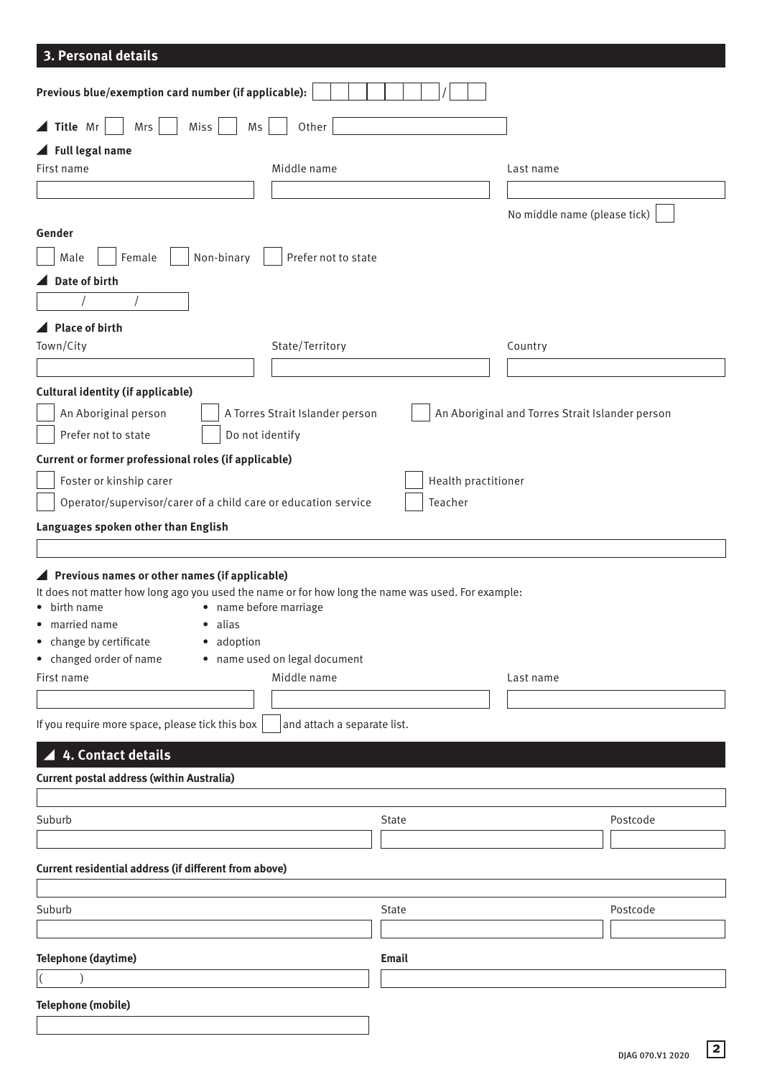# **3. Personal details**

| Previous blue/exemption card number (if applicable):                                              |                     |                                                 |          |
|---------------------------------------------------------------------------------------------------|---------------------|-------------------------------------------------|----------|
| $\blacktriangle$ Title Mr<br>Other<br>Mrs<br>Miss<br>Ms                                           |                     |                                                 |          |
| $\blacktriangle$ Full legal name                                                                  |                     |                                                 |          |
| Middle name<br>First name                                                                         |                     | Last name                                       |          |
|                                                                                                   |                     |                                                 |          |
|                                                                                                   |                     |                                                 |          |
| Gender                                                                                            |                     | No middle name (please tick)                    |          |
|                                                                                                   |                     |                                                 |          |
| Female<br>Non-binary<br>Prefer not to state<br>Male                                               |                     |                                                 |          |
| Date of birth                                                                                     |                     |                                                 |          |
|                                                                                                   |                     |                                                 |          |
| <b>Place of birth</b>                                                                             |                     |                                                 |          |
| Town/City<br>State/Territory                                                                      |                     | Country                                         |          |
|                                                                                                   |                     |                                                 |          |
|                                                                                                   |                     |                                                 |          |
| <b>Cultural identity (if applicable)</b>                                                          |                     |                                                 |          |
| An Aboriginal person<br>A Torres Strait Islander person                                           |                     | An Aboriginal and Torres Strait Islander person |          |
| Prefer not to state<br>Do not identify                                                            |                     |                                                 |          |
| Current or former professional roles (if applicable)                                              |                     |                                                 |          |
| Foster or kinship carer                                                                           | Health practitioner |                                                 |          |
| Operator/supervisor/carer of a child care or education service                                    | Teacher             |                                                 |          |
|                                                                                                   |                     |                                                 |          |
| Languages spoken other than English                                                               |                     |                                                 |          |
|                                                                                                   |                     |                                                 |          |
| ▲ Previous names or other names (if applicable)                                                   |                     |                                                 |          |
| It does not matter how long ago you used the name or for how long the name was used. For example: |                     |                                                 |          |
| • birth name<br>• name before marriage                                                            |                     |                                                 |          |
| • married name<br>· alias                                                                         |                     |                                                 |          |
| • change by certificate<br>· adoption                                                             |                     |                                                 |          |
| • changed order of name<br>• name used on legal document<br>Middle name<br>First name             |                     |                                                 |          |
|                                                                                                   |                     | Last name                                       |          |
|                                                                                                   |                     |                                                 |          |
| If you require more space, please tick this box<br>and attach a separate list.                    |                     |                                                 |          |
| 4. Contact details                                                                                |                     |                                                 |          |
|                                                                                                   |                     |                                                 |          |
| <b>Current postal address (within Australia)</b>                                                  |                     |                                                 |          |
|                                                                                                   |                     |                                                 |          |
| Suburb                                                                                            | State               |                                                 | Postcode |
|                                                                                                   |                     |                                                 |          |
| Current residential address (if different from above)                                             |                     |                                                 |          |
|                                                                                                   |                     |                                                 |          |
| Suburb                                                                                            | State               |                                                 | Postcode |
|                                                                                                   |                     |                                                 |          |
|                                                                                                   |                     |                                                 |          |
| Telephone (daytime)                                                                               | <b>Email</b>        |                                                 |          |
| $\vert$ (                                                                                         |                     |                                                 |          |
| <b>Telephone (mobile)</b>                                                                         |                     |                                                 |          |
|                                                                                                   |                     |                                                 |          |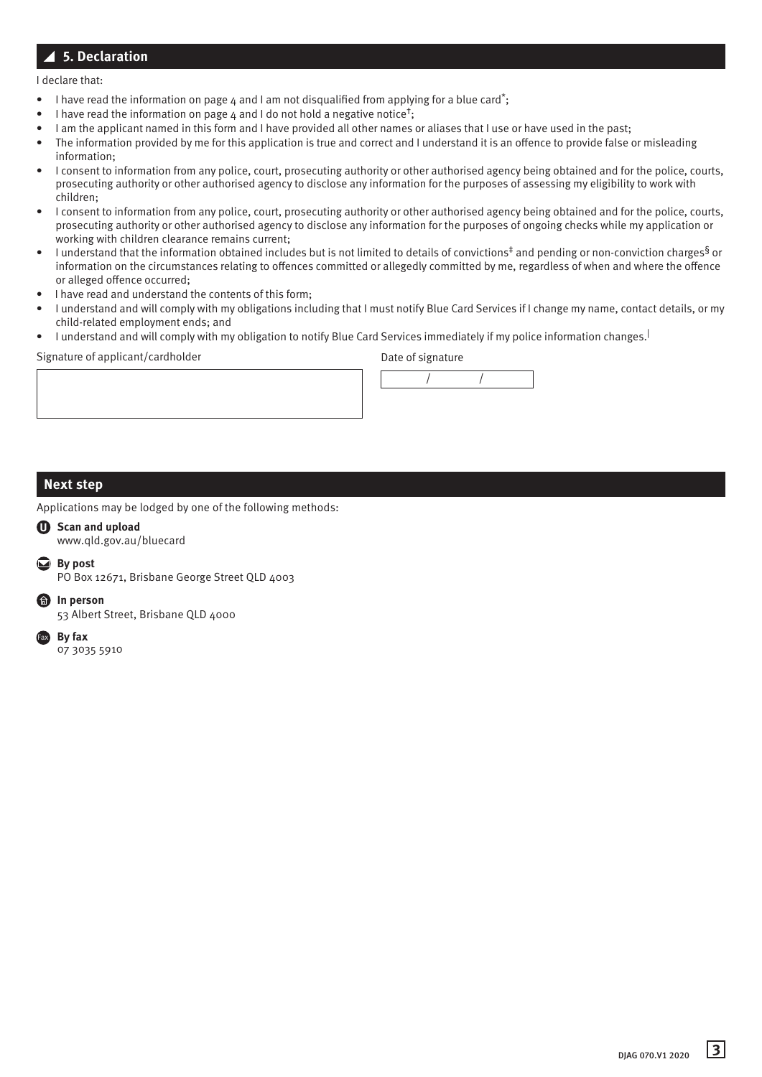# **5. Declaration**

I declare that:

- I have read the information on page 4 and I am not disqualified from applying for a blue card<sup>\*</sup>;
- I have read the information on page 4 and I do not hold a negative notice<sup>†</sup>;
- I am the applicant named in this form and I have provided all other names or aliases that I use or have used in the past;
- The information provided by me for this application is true and correct and I understand it is an offence to provide false or misleading information;
- I consent to information from any police, court, prosecuting authority or other authorised agency being obtained and for the police, courts, prosecuting authority or other authorised agency to disclose any information for the purposes of assessing my eligibility to work with children;
- I consent to information from any police, court, prosecuting authority or other authorised agency being obtained and for the police, courts, prosecuting authority or other authorised agency to disclose any information for the purposes of ongoing checks while my application or working with children clearance remains current;
- I understand that the information obtained includes but is not limited to details of convictions<sup>‡</sup> and pending or non-conviction charges<sup>§</sup> or information on the circumstances relating to offences committed or allegedly committed by me, regardless of when and where the offence or alleged offence occurred;
- I have read and understand the contents of this form;
- I understand and will comply with my obligations including that I must notify Blue Card Services if I change my name, contact details, or my child-related employment ends; and
- I understand and will comply with my obligation to notify Blue Card Services immediately if my police information changes.|

Signature of applicant/cardholder and the Date of signature



## **Next step**

Applications may be lodged by one of the following methods:

## **U Scan and upload**

www.qld.gov.au/bluecard

**By post**

PO Box 12671, Brisbane George Street QLD 4003

**In person** 

53 Albert Street, Brisbane QLD 4000

**By fax**  07 3035 5910 Fax

**3** DJAG 070.V1 <sup>2020</sup>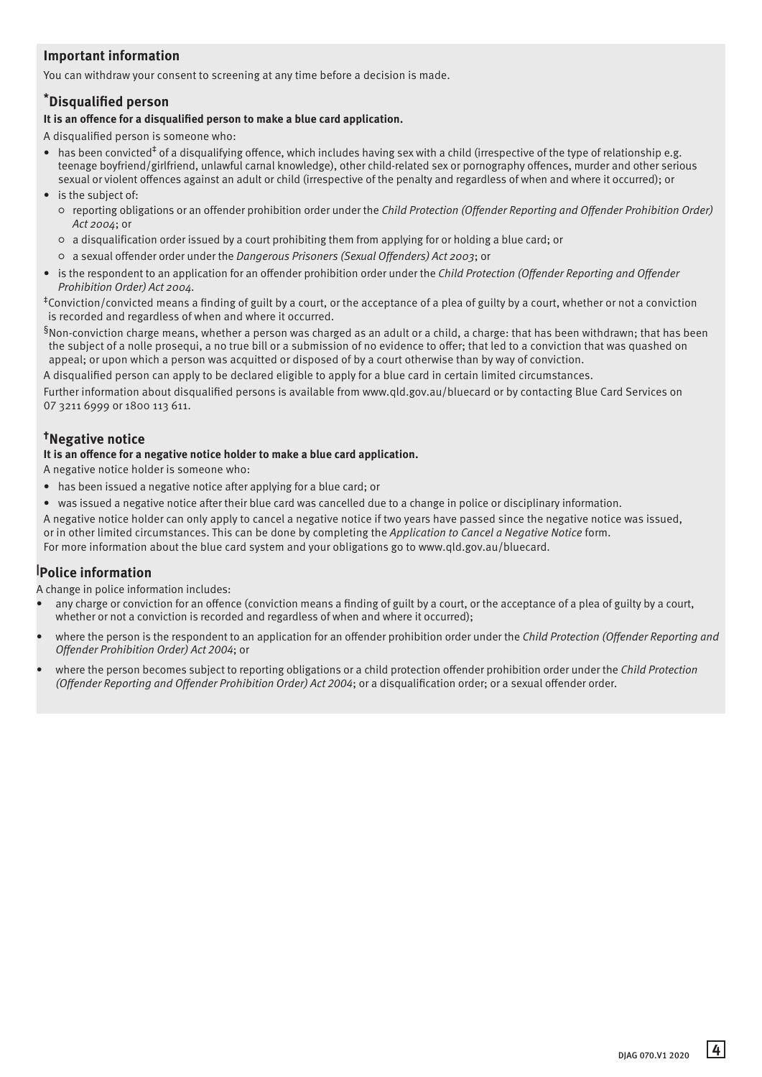# **Important information**

You can withdraw your consent to screening at any time before a decision is made.

# **\*Disqualified person**

## **It is an offence for a disqualified person to make a blue card application.**

A disqualified person is someone who:

- has been convicted<sup>‡</sup> of a disqualifying offence, which includes having sex with a child (irrespective of the type of relationship e.g. teenage boyfriend/girlfriend, unlawful carnal knowledge), other child-related sex or pornography offences, murder and other serious sexual or violent offences against an adult or child (irrespective of the penalty and regardless of when and where it occurred); or
- is the subject of:
	- reporting obligations or an offender prohibition order under the *Child Protection (Offender Reporting and Offender Prohibition Order) Act 2004*; or
	- a disqualification order issued by a court prohibiting them from applying for or holding a blue card; or
	- a sexual offender order under the *Dangerous Prisoners (Sexual Offenders) Act 2003*; or
- is the respondent to an application for an offender prohibition order under the *Child Protection (Offender Reporting and Offender Prohibition Order) Act 2004.*

‡Conviction/convicted means a finding of guilt by a court, or the acceptance of a plea of guilty by a court, whether or not a conviction is recorded and regardless of when and where it occurred.

 $§$ Non-conviction charge means, whether a person was charged as an adult or a child, a charge: that has been withdrawn; that has been the subject of a nolle prosequi, a no true bill or a submission of no evidence to offer; that led to a conviction that was quashed on appeal; or upon which a person was acquitted or disposed of by a court otherwise than by way of conviction.

A disqualified person can apply to be declared eligible to apply for a blue card in certain limited circumstances.

Further information about disqualified persons is available from www.qld.gov.au/bluecard or by contacting Blue Card Services on 07 3211 6999 or 1800 113 611.

# **†Negative notice**

## **It is an offence for a negative notice holder to make a blue card application.**

A negative notice holder is someone who:

- has been issued a negative notice after applying for a blue card; or
- was issued a negative notice after their blue card was cancelled due to a change in police or disciplinary information.
- A negative notice holder can only apply to cancel a negative notice if two years have passed since the negative notice was issued, or in other limited circumstances. This can be done by completing the *Application to Cancel a Negative Notice* form. For more information about the blue card system and your obligations go to www.qld.gov.au/bluecard.

# **| Police information**

A change in police information includes:

- any charge or conviction for an offence (conviction means a finding of guilt by a court, or the acceptance of a plea of guilty by a court, whether or not a conviction is recorded and regardless of when and where it occurred);
- where the person is the respondent to an application for an offender prohibition order under the *Child Protection (Offender Reporting and Offender Prohibition Order) Act 2004*; or
- where the person becomes subject to reporting obligations or a child protection offender prohibition order under the *Child Protection (Offender Reporting and Offender Prohibition Order) Act 2004*; or a disqualification order; or a sexual offender order.